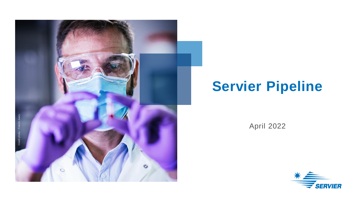

# **Servier Pipeline**

April 2022

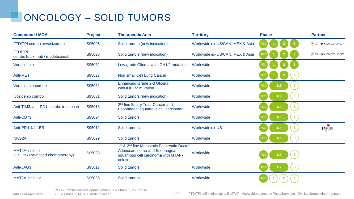### ONCOLOGY – SOLID TUMORS

| <b>Compound / MOA</b>                                         | <b>Project</b> | <b>Therapeutic Area</b>                                                                                                                                | <b>Territory</b>                | <b>Phase</b>                                            | <b>Partner</b>  |
|---------------------------------------------------------------|----------------|--------------------------------------------------------------------------------------------------------------------------------------------------------|---------------------------------|---------------------------------------------------------|-----------------|
| FTD/TPI combo bevacizumab                                     | S95005         | Solid tumors (new indication)                                                                                                                          | Worldwide ex-US/CAN, MEX & Asia | $\overline{\mathbf{3}}$<br><b>PCD</b><br>2 <sup>1</sup> | FTAIHO ONCOLOGY |
| <b>FTD/TPI</b><br>combo futuximab / modotuximab               | S95026         | Solid tumors (new indication)                                                                                                                          | Worldwide ex-US/CAN, MEX & Asia | <b>PCD</b>                                              | FTAIHO ONCOLOGY |
| Vorasidenib                                                   | S95032         | Low grade Glioma with IDH1/2 mutation                                                                                                                  | Worldwide                       | 2 <sup>1</sup><br>3<br><b>PCD</b>                       |                 |
| Anti-MET                                                      | S95027         | Non small Cell Lung Cancer                                                                                                                             | Worldwide                       | $\mathbf{3}$<br>$\overline{2}$<br><b>PCD</b>            |                 |
| Vorasidenib combo                                             | S95032         | Enhancing Grade 2-3 Glioma<br>with IDH1/2 mutation                                                                                                     | Worldwide                       | 3 <sup>1</sup><br>$1/2$<br><b>PCD</b>                   |                 |
| Ivosidenib combo                                              | S95031         | Solid tumors (new indication)                                                                                                                          | Worldwide                       | $\mathbf{3}$<br><b>PCD</b><br>$1/2$                     |                 |
| Anti-TIM3, anti-PD1, combo irinotecan                         | S95018         | 2 <sup>nd</sup> line Biliary Tract Cancer and<br>Esophageal squamous cell carcinoma                                                                    | Worldwide                       | $\mathbf{3}$<br>$1/2$<br><b>PCD</b>                     |                 |
| Anti-CD73                                                     | S95024         | Solid tumors                                                                                                                                           | Worldwide                       | $\mathbf{3}$<br>$1/2$<br><b>PCD</b>                     |                 |
| Anti-PD-L1/4-1BB                                              | S95012         | Solid tumors                                                                                                                                           | Worldwide ex-US                 | 3 <sup>1</sup><br>$1/2$<br><b>PCD</b>                   | -pieris-        |
| NKG2A                                                         | S95029         | Solid tumors                                                                                                                                           | Worldwide                       | $\mathbf{3}$<br>1/2<br><b>PCD</b>                       |                 |
| <b>MAT2A</b> inhibitor<br>$(+ / -$ taxane-based chemotherapy) | S95033         | 1 <sup>st</sup> & 2 <sup>nd</sup> line Metastatic Pancreatic Ductal<br>Adenocarcinoma and Esophageal<br>squamous cell carcinoma with MTAP-<br>deletion | Worldwide                       | $\overline{\mathbf{3}}$<br>1/2<br><b>PCD</b>            |                 |
| Anti-LAG3                                                     | S95017         | Solid tumors                                                                                                                                           | Worldwide                       | $\mathbf{3}$<br><b>PCD</b><br>1/2                       |                 |
| <b>MAT2A</b> inhibitor                                        | S95035         | Solid tumors                                                                                                                                           | Worldwide                       | <b>PCD</b><br>$\overline{2}$<br>$\mathbf{3}$            |                 |

- 2 - Data as of April 2022 2. 3 = Phase 3, MOA = Mode of action<br>- 2 - FTD/TPI: trifluridine/tipiracil; MTAP: Methylthioadenosine Phosphorylase; IDH: Isocitrate dehydrogenase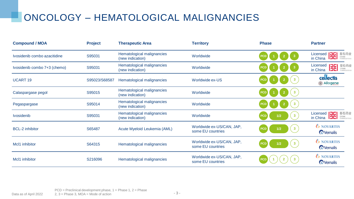## ONCOLOGY – HEMATOLOGICAL MALIGNANCIES

| <b>Compound / MOA</b>        | <b>Project</b> | <b>Therapeutic Area</b>                        | <b>Territory</b>                               | <b>Phase</b>                                 | <b>Partner</b>                                                                                                                                                                                               |
|------------------------------|----------------|------------------------------------------------|------------------------------------------------|----------------------------------------------|--------------------------------------------------------------------------------------------------------------------------------------------------------------------------------------------------------------|
| Ivosidenib combo azacitidine | S95031         | Hematological malignancies<br>(new indication) | Worldwide                                      | 3 <sup>°</sup><br><b>PCD</b>                 | $\begin{array}{c} \text{Licensed} \\ \text{in China} \end{array} \begin{array}{c} \begin{array}{c} \text{IIG} \\ \text{IIG} \end{array} \end{array}$<br>基石药业<br><b>CSTONE</b><br>PHARMACEUTICALS<br>in China |
| Ivosidenib combo 7+3 (chemo) | S95031         | Hematological malignancies<br>(new indication) | Worldwide                                      | <b>PCD</b>                                   | Licensed <b>日日</b> 基石药业<br>in China 日日 STONE<br><b>CSTONE</b><br>PHARMACEUTICALS<br>in China                                                                                                                 |
| <b>UCART 19</b>              | S95023/S68587  | Hematological malignancies                     | Worldwide ex-US                                | $\mathbf{3}$<br><b>PCD</b>                   | <b>cellectis</b><br>Allogene                                                                                                                                                                                 |
| Calaspargase pegol           | S95015         | Hematological malignancies<br>(new indication) | Worldwide                                      | $\mathbf{3}$<br><b>PCD</b><br>$\overline{2}$ |                                                                                                                                                                                                              |
| Pegaspargase                 | S95014         | Hematological malignancies<br>(new indication) | Worldwide                                      | $\mathbf{3}$<br><b>PCD</b><br>2 <sup>1</sup> |                                                                                                                                                                                                              |
| <b>Ivosidenib</b>            | S95031         | Hematological malignancies<br>(new indication) | Worldwide                                      | 3 <sup>1</sup><br>1/2<br><b>PCD</b>          | Licensed <b>コロ</b> 基石药业<br>in China コロ STONE<br>in China                                                                                                                                                     |
| <b>BCL-2</b> inhibitor       | S65487         | Acute Myeloid Leukemia (AML)                   | Worldwide ex-US/CAN, JAP,<br>some EU countries | $\overline{\mathbf{3}}$<br>1/2<br><b>PCD</b> | <b>U</b> NOVARTIS<br><b>O</b> Vernalis                                                                                                                                                                       |
| McI1 inhibitor               | S64315         | Hematological malignancies                     | Worldwide ex-US/CAN, JAP,<br>some EU countries | $\mathbf{3}$<br>1/2<br><b>PCD</b>            | <b>U</b> NOVARTIS<br><b>O</b> Vernalis                                                                                                                                                                       |
| McI1 inhibitor               | S216096        | Hematological malignancies                     | Worldwide ex-US/CAN, JAP,<br>some EU countries | $\mathbf{3}$<br>$\overline{2}$<br><b>PCD</b> | <b>U</b> NOVARTIS<br><b>O</b> Vernalis                                                                                                                                                                       |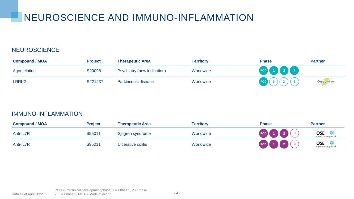### NEUROSCIENCE AND IMMUNO-INFLAMMATION

#### **NEUROSCIENCE**

| <b>Compound / MOA</b> | <b>Project</b> | <b>Therapeutic Area</b>            | Territory | <b>Phase</b>        | <b>Partner</b>      |
|-----------------------|----------------|------------------------------------|-----------|---------------------|---------------------|
| Agomelatine           | S20098         | <b>Psychiatry (new indication)</b> | Worldwide | PCD 1 2 3           |                     |
| LRRK <sub>2</sub>     | S221237        | Parkinson's disease                | Worldwide | $\mathbf{3}$<br>PCD | <b>On CO</b> design |

#### IMMUNO-INFLAMMATION

| <b>Compound / MOA</b> | <b>Project</b> | <b>Therapeutic Area</b> | <b>Territory</b> | <b>Phase</b> | <b>Partner</b>                   |
|-----------------------|----------------|-------------------------|------------------|--------------|----------------------------------|
| Anti-IL7R             | S95011         | Sjögren syndrome        | Worldwide        | PCD          | <b>OSE</b><br>Immunotherapeutics |
| Anti-IL7R             | S95011         | Ulcerative colitis      | Worldwide        | PCD          | <b>OSE</b><br>Immunotherapeutics |